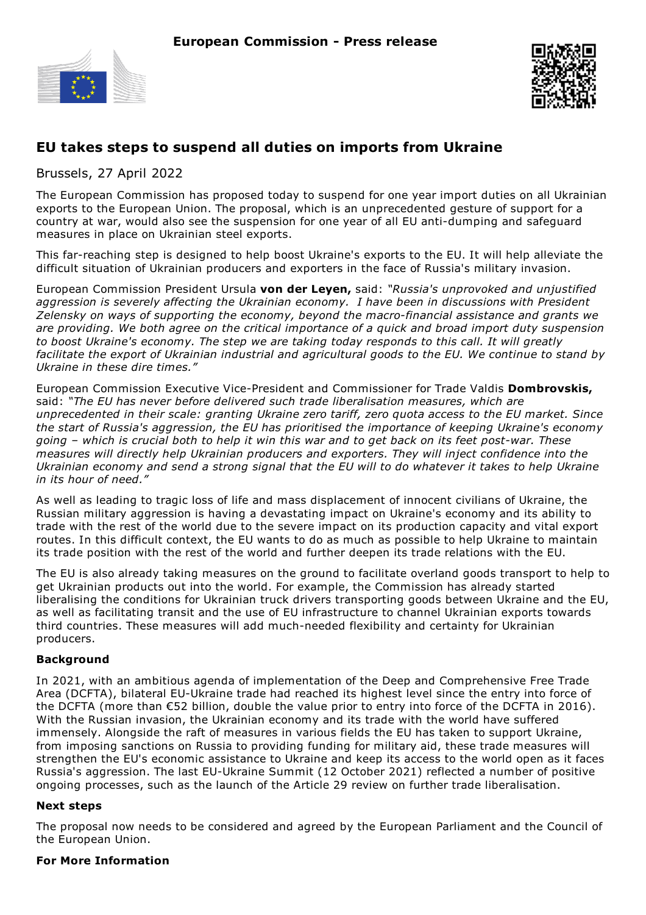



# **EU takes steps to suspend all duties on imports from Ukraine**

Brussels, 27 April 2022

The European Commission has proposed today to suspend for one year import duties on all Ukrainian exports to the European Union. The proposal, which is an unprecedented gesture of support for a country at war, would also see the suspension for one year of all EU anti-dumping and safeguard measures in place on Ukrainian steel exports.

This far-reaching step is designed to help boost Ukraine's exports to the EU. It will help alleviate the difficult situation of Ukrainian producers and exporters in the face of Russia's military invasion.

European Commission President Ursula **von der Leyen,** said: *"Russia's unprovoked and unjustified aggression is severely affecting the Ukrainian economy. I have been in discussions with President Zelensky on ways of supporting the economy, beyond the macro-financial assistance and grants we are providing. We both agree on the critical importance of a quick and broad import duty suspension to boost Ukraine's economy. The step we are taking today responds to this call. It will greatly facilitate the export of Ukrainian industrial and agricultural goods to the EU. We continue to stand by Ukraine in these dire times."*

European Commission Executive Vice-President and Commissioner for Trade Valdis **Dombrovskis,** said: *"The EU has never before delivered such trade liberalisation measures, which are unprecedented in their scale: granting Ukraine zero tariff, zero quota access to the EU market. Since the start of Russia's aggression, the EU has prioritised the importance of keeping Ukraine's economy* going - which is crucial both to help it win this war and to get back on its feet post-war. These *measures will directly help Ukrainian producers and exporters. They will inject confidence into the* Ukrainian economy and send a strong signal that the EU will to do whatever it takes to help Ukraine *in its hour of need."*

As well as leading to tragic loss of life and mass displacement of innocent civilians of Ukraine, the Russian military aggression is having a devastating impact on Ukraine's economy and its ability to trade with the rest of the world due to the severe impact on its production capacity and vital export routes. In this difficult context, the EU wants to do as much as possible to help Ukraine to maintain its trade position with the rest of the world and further deepen its trade relations with the EU.

The EU is also already taking measures on the ground to facilitate overland goods transport to help to get Ukrainian products out into the world. For example, the Commission has already started liberalising the conditions for Ukrainian truck drivers transporting goods between Ukraine and the EU, as well as facilitating transit and the use of EU infrastructure to channel Ukrainian exports towards third countries. These measures will add much-needed flexibility and certainty for Ukrainian producers.

## **Background**

In 2021, with an ambitious agenda of implementation of the Deep and Comprehensive Free Trade Area (DCFTA), bilateral EU-Ukraine trade had reached its highest level since the entry into force of the DCFTA (more than €52 billion, double the value prior to entry into force of the DCFTA in 2016). With the Russian invasion, the Ukrainian economy and its trade with the world have suffered immensely. Alongside the raft of measures in various fields the EU has taken to support Ukraine, from imposing sanctions on Russia to providing funding for military aid, these trade measures will strengthen the EU's economic assistance to Ukraine and keep its access to the world open as it faces Russia's aggression. The last EU-Ukraine Summit (12 October 2021) reflected a number of positive ongoing processes, such as the launch of the Article 29 review on further trade liberalisation.

#### **Next steps**

The proposal now needs to be considered and agreed by the European Parliament and the Council of the European Union.

#### **For More Information**